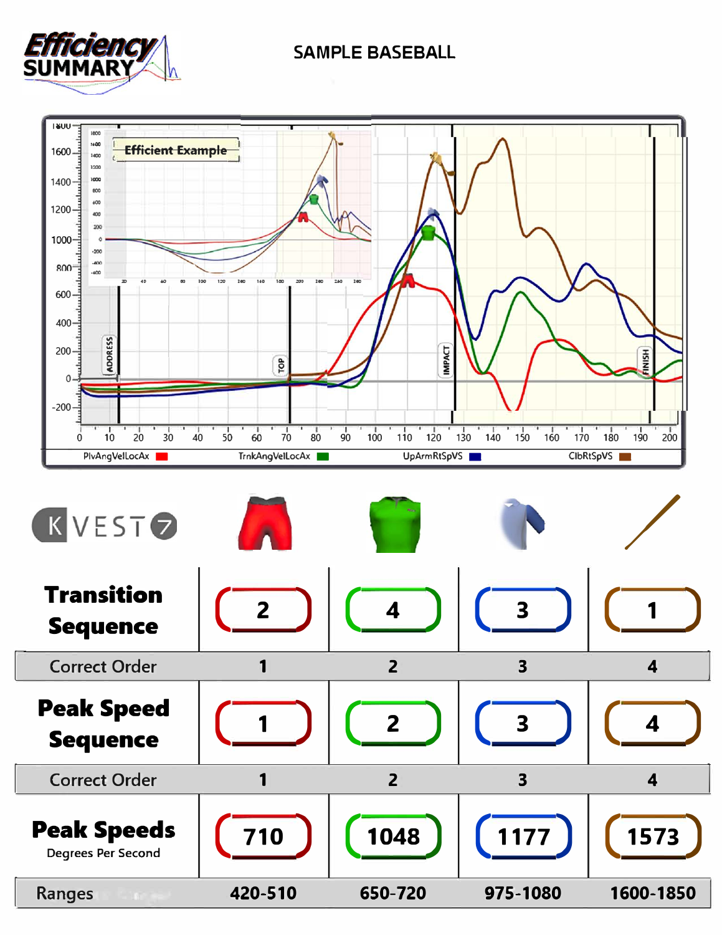## **SAMPLE BASEBALL**



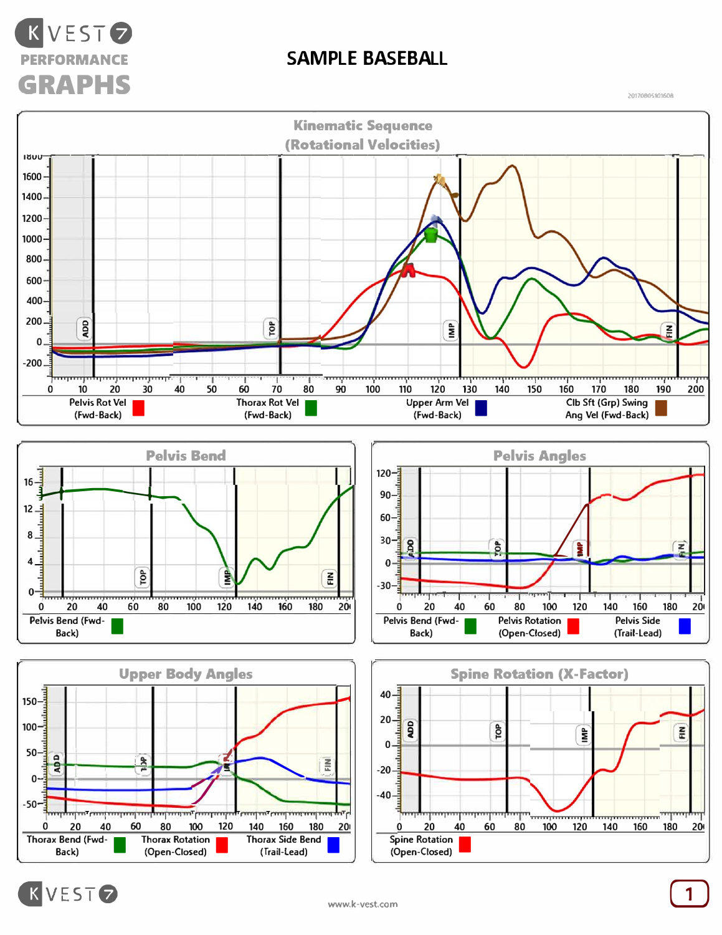

## **SAMPLE BASEBALL**

**2017080S101608**